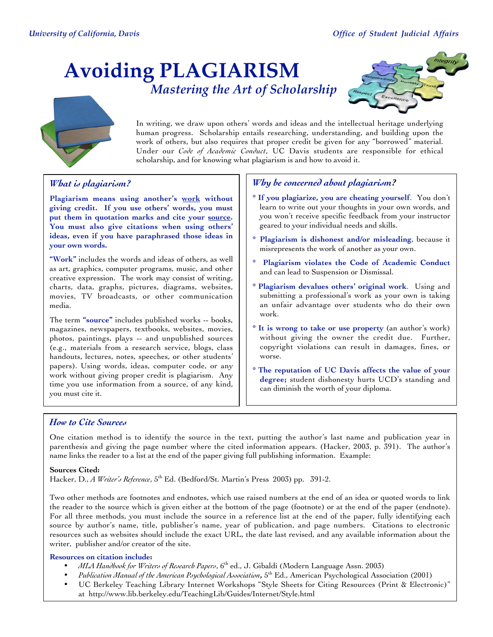# **Avoiding PLAGIARISM** *Mastering the Art of Scholarship*





In writing, we draw upon others' words and ideas and the intellectual heritage underlying human progress. Scholarship entails researching, understanding, and building upon the work of others, but also requires that proper credit be given for any "borrowed" material. Under our *Code of Academic Conduct*, UC Davis students are responsible for ethical scholarship, and for knowing what plagiarism is and how to avoid it.

# *What is plagiarism?*

**Plagiarism means using another's work without giving credit. If you use others' words, you must put them in quotation marks and cite your source. You must also give citations when using others' ideas, even if you have paraphrased those ideas in your own words.**

**"Work"** includes the words and ideas of others, as well as art, graphics, computer programs, music, and other creative expression. The work may consist of writing, charts, data, graphs, pictures, diagrams, websites, movies, TV broadcasts, or other communication media.

The term **"source"** includes published works -- books, magazines, newspapers, textbooks, websites, movies, photos, paintings, plays -- and unpublished sources (e.g., materials from a research service, blogs, class handouts, lectures, notes, speeches, or other students' papers). Using words, ideas, computer code, or any work without giving proper credit is plagiarism. Any time you use information from a source, of any kind, you must cite it.

## *Why be concerned about plagiarism?*

- **\* If you plagiarize, you are cheating yourself**. You don't learn to write out your thoughts in your own words, and you won't receive specific feedback from your instructor geared to your individual needs and skills.
- **\* Plagiarism is dishonest and/or misleading**, because it misrepresents the work of another as your own.
- **\* Plagiarism violates the Code of Academic Conduct** and can lead to Suspension or Dismissal.
- **\* Plagiarism devalues others' original work**. Using and submitting a professional's work as your own is taking an unfair advantage over students who do their own work.
- **\* It is wrong to take or use property** (an author's work) without giving the owner the credit due. Further, copyright violations can result in damages, fines, or worse.
- **\* The reputation of UC Davis affects the value of your degree;** student dishonesty hurts UCD's standing and can diminish the worth of your diploma.

## *How to Cite Sources*

One citation method is to identify the source in the text, putting the author's last name and publication year in parenthesis and giving the page number where the cited information appears. (Hacker, 2003, p. 391). The author's name links the reader to a list at the end of the paper giving full publishing information. Example:

## **Sources Cited:**

Hacker, D., *A Writer's Reference*, 5<sup>th</sup> Ed. (Bedford/St. Martin's Press 2003) pp. 391-2.

Two other methods are footnotes and endnotes, which use raised numbers at the end of an idea or quoted words to link the reader to the source which is given either at the bottom of the page (footnote) or at the end of the paper (endnote). For all three methods, you must include the source in a reference list at the end of the paper, fully identifying each source by author's name, title, publisher's name, year of publication, and page numbers. Citations to electronic resources such as websites should include the exact URL, the date last revised, and any available information about the writer, publisher and/or creator of the site.

## **Resources on citation include:**

- *MLA Handbook for Writers of Research Papers*, 6th ed., J. Gibaldi (Modern Language Assn. 2003)
- *Publication Manual of the American Psychological Association***,** 5th Ed., American Psychological Association (2001)
- UC Berkeley Teaching Library Internet Workshops "Style Sheets for Citing Resources (Print & Electronic)" at http://www.lib.berkeley.edu/TeachingLib/Guides/Internet/Style.html